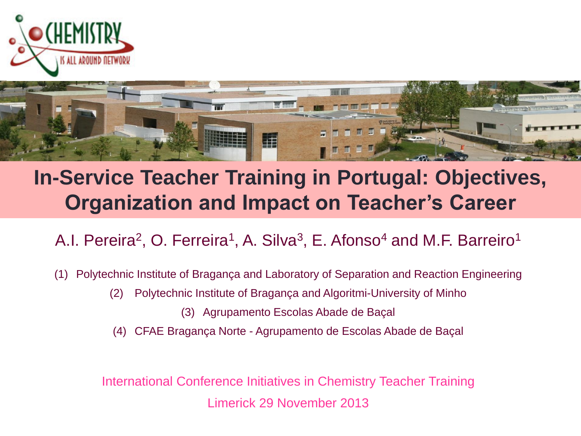



### **In-Service Teacher Training in Portugal: Objectives, Organization and Impact on Teacher's Career**

A.I. Pereira<sup>2</sup>, O. Ferreira<sup>1</sup>, A. Silva<sup>3</sup>, E. Afonso<sup>4</sup> and M.F. Barreiro<sup>1</sup>

(1) Polytechnic Institute of Bragança and Laboratory of Separation and Reaction Engineering

- (2) Polytechnic Institute of Bragança and Algoritmi-University of Minho
	- (3) Agrupamento Escolas Abade de Baçal
- (4) CFAE Bragança Norte Agrupamento de Escolas Abade de Baçal

International Conference Initiatives in Chemistry Teacher Training Limerick 29 November 2013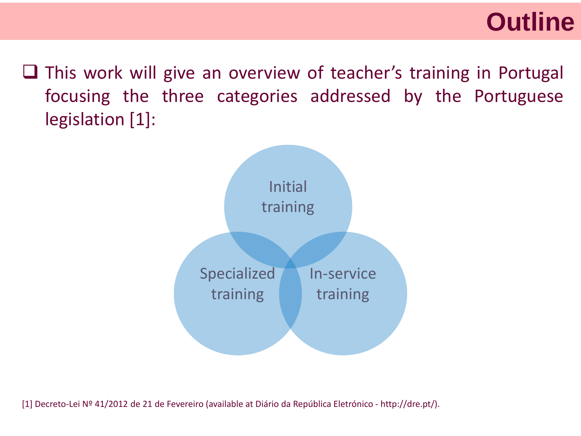### **<sup>2</sup>Outline**

 $\Box$  This work will give an overview of teacher's training in Portugal focusing the three categories addressed by the Portuguese legislation [1]:



[1] Decreto-Lei Nº 41/2012 de 21 de Fevereiro (available at Diário da República Eletrónico - http://dre.pt/).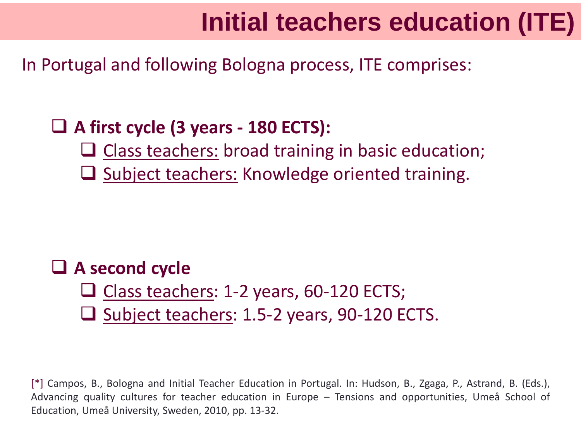## **3 Initial teachers education (ITE)**

In Portugal and following Bologna process, ITE comprises:

#### **A first cycle (3 years - 180 ECTS):**

- $\Box$  Class teachers: broad training in basic education;
- $\Box$  Subject teachers: Knowledge oriented training.

### **A second cycle**

- $\Box$  Class teachers: 1-2 years, 60-120 ECTS;
- $\Box$  Subject teachers: 1.5-2 years, 90-120 ECTS.

[\*] Campos, B., Bologna and Initial Teacher Education in Portugal. In: Hudson, B., Zgaga, P., Astrand, B. (Eds.), Advancing quality cultures for teacher education in Europe – Tensions and opportunities, Umeå School of Education, Umeå University, Sweden, 2010, pp. 13-32.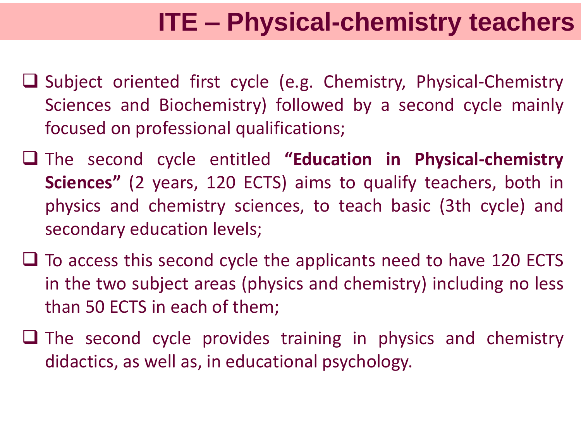# **4 ITE – Physical-chemistry teachers**

- $\Box$  Subject oriented first cycle (e.g. Chemistry, Physical-Chemistry Sciences and Biochemistry) followed by a second cycle mainly focused on professional qualifications;
- The second cycle entitled **"Education in Physical-chemistry Sciences"** (2 years, 120 ECTS) aims to qualify teachers, both in physics and chemistry sciences, to teach basic (3th cycle) and secondary education levels;
- $\Box$  To access this second cycle the applicants need to have 120 ECTS in the two subject areas (physics and chemistry) including no less than 50 ECTS in each of them;
- $\Box$  The second cycle provides training in physics and chemistry didactics, as well as, in educational psychology.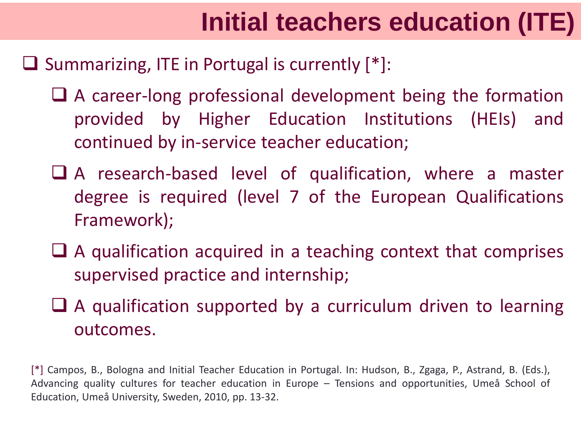# **5 Initial teachers education (ITE)**

#### $\Box$  Summarizing, ITE in Portugal is currently  $[*]:$

- $\Box$  A career-long professional development being the formation provided by Higher Education Institutions (HEIs) and continued by in-service teacher education;
- A research-based level of qualification, where a master degree is required (level 7 of the European Qualifications Framework);
- $\Box$  A qualification acquired in a teaching context that comprises supervised practice and internship;
- $\Box$  A qualification supported by a curriculum driven to learning outcomes.

[\*] Campos, B., Bologna and Initial Teacher Education in Portugal. In: Hudson, B., Zgaga, P., Astrand, B. (Eds.), Advancing quality cultures for teacher education in Europe – Tensions and opportunities, Umeå School of Education, Umeå University, Sweden, 2010, pp. 13-32.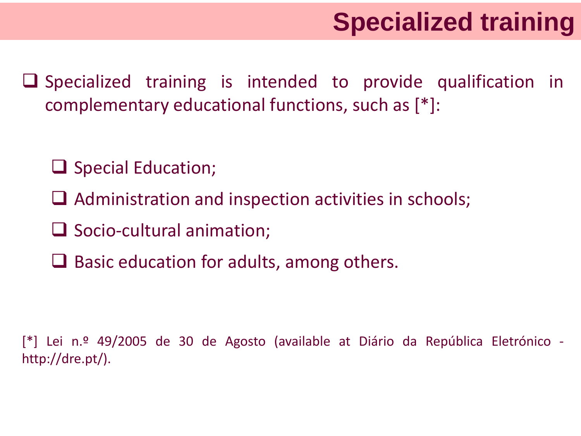- $\Box$  Specialized training is intended to provide qualification in complementary educational functions, such as [\*]:
	- $\Box$  Special Education;
	- $\Box$  Administration and inspection activities in schools;
	- $\Box$  Socio-cultural animation;
	- $\Box$  Basic education for adults, among others.

[\*] Lei n.º 49/2005 de 30 de Agosto (available at Diário da República Eletrónico http://dre.pt/).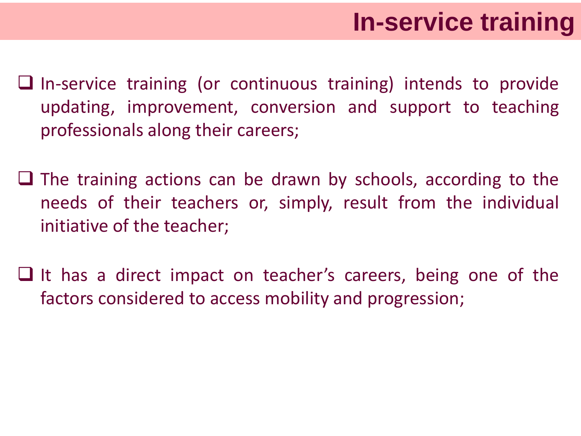- $\Box$  In-service training (or continuous training) intends to provide updating, improvement, conversion and support to teaching professionals along their careers;
- $\Box$  The training actions can be drawn by schools, according to the needs of their teachers or, simply, result from the individual initiative of the teacher;
- $\Box$  It has a direct impact on teacher's careers, being one of the factors considered to access mobility and progression;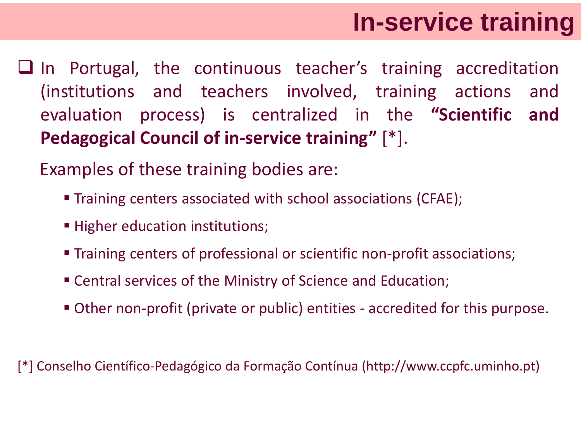# **8 In-service training**

 $\Box$  In Portugal, the continuous teacher's training accreditation (institutions and teachers involved, training actions and evaluation process) is centralized in the **"Scientific and Pedagogical Council of in-service training"** [\*].

Examples of these training bodies are:

- **Training centers associated with school associations (CFAE);**
- Higher education institutions;
- Training centers of professional or scientific non-profit associations;
- Central services of the Ministry of Science and Education;
- Other non-profit (private or public) entities accredited for this purpose.

[\*] Conselho Científico-Pedagógico da Formação Contínua (http://www.ccpfc.uminho.pt)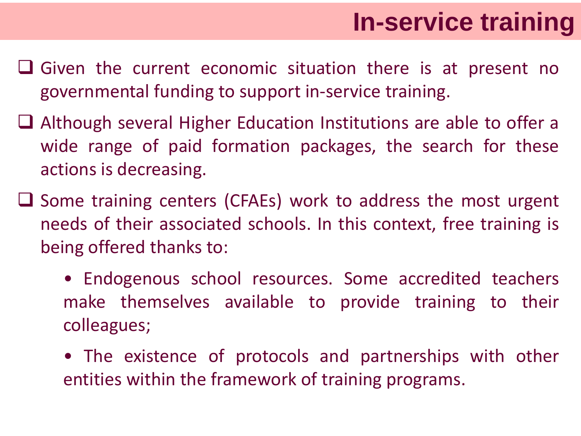# **9 In-service training**

- $\Box$  Given the current economic situation there is at present no governmental funding to support in-service training.
- Although several Higher Education Institutions are able to offer a wide range of paid formation packages, the search for these actions is decreasing.
- $\Box$  Some training centers (CFAEs) work to address the most urgent needs of their associated schools. In this context, free training is being offered thanks to:
	- Endogenous school resources. Some accredited teachers make themselves available to provide training to their colleagues;
	- The existence of protocols and partnerships with other entities within the framework of training programs.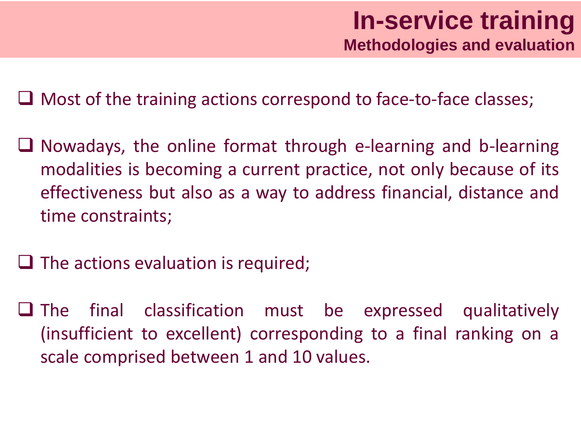$\Box$  Most of the training actions correspond to face-to-face classes;

- $\Box$  Nowadays, the online format through e-learning and b-learning modalities is becoming a current practice, not only because of its effectiveness but also as a way to address financial, distance and time constraints;
- $\Box$  The actions evaluation is required;
- $\Box$  The final classification must be expressed qualitatively (insufficient to excellent) corresponding to a final ranking on a scale comprised between 1 and 10 values.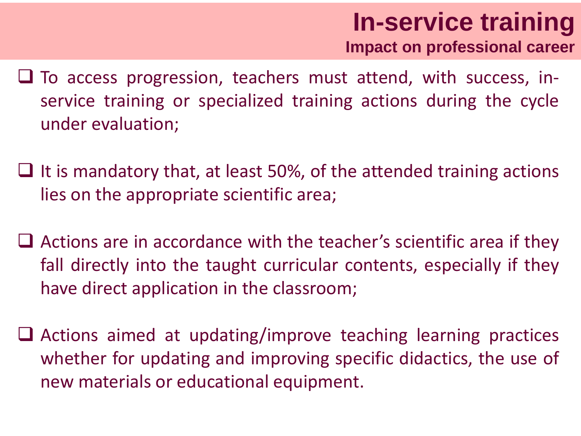- $\Box$  To access progression, teachers must attend, with success, inservice training or specialized training actions during the cycle under evaluation;
- $\Box$  It is mandatory that, at least 50%, of the attended training actions lies on the appropriate scientific area;
- $\Box$  Actions are in accordance with the teacher's scientific area if they fall directly into the taught curricular contents, especially if they have direct application in the classroom;
- $\Box$  Actions aimed at updating/improve teaching learning practices whether for updating and improving specific didactics, the use of new materials or educational equipment.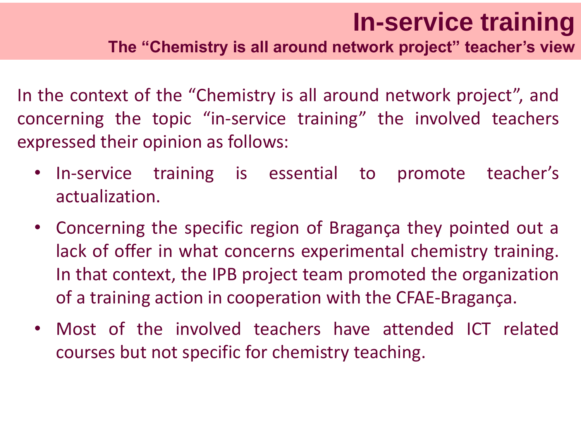## **1n-service training**

**The "Chemistry is all around network project" teacher's view**

In the context of the "Chemistry is all around network project", and concerning the topic "in-service training" the involved teachers expressed their opinion as follows:

- In-service training is essential to promote teacher's actualization.
- Concerning the specific region of Bragança they pointed out a lack of offer in what concerns experimental chemistry training. In that context, the IPB project team promoted the organization of a training action in cooperation with the CFAE-Bragança.
- Most of the involved teachers have attended ICT related courses but not specific for chemistry teaching.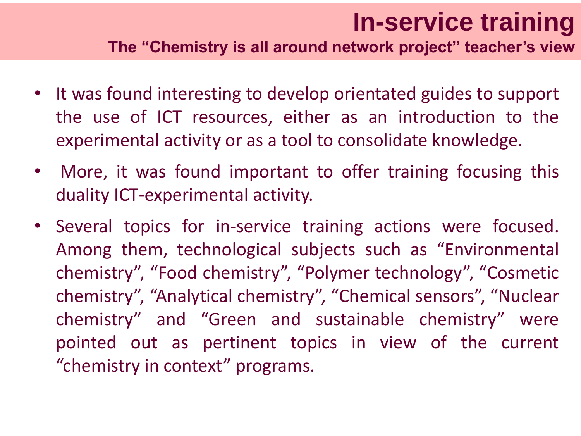### **<sup>13</sup> In-service training The "Chemistry is all around network project" teacher's view**

- It was found interesting to develop orientated guides to support the use of ICT resources, either as an introduction to the experimental activity or as a tool to consolidate knowledge.
- More, it was found important to offer training focusing this duality ICT-experimental activity.
- Several topics for in-service training actions were focused. Among them, technological subjects such as "Environmental chemistry", "Food chemistry", "Polymer technology", "Cosmetic chemistry", "Analytical chemistry", "Chemical sensors", "Nuclear chemistry" and "Green and sustainable chemistry" were pointed out as pertinent topics in view of the current "chemistry in context" programs.